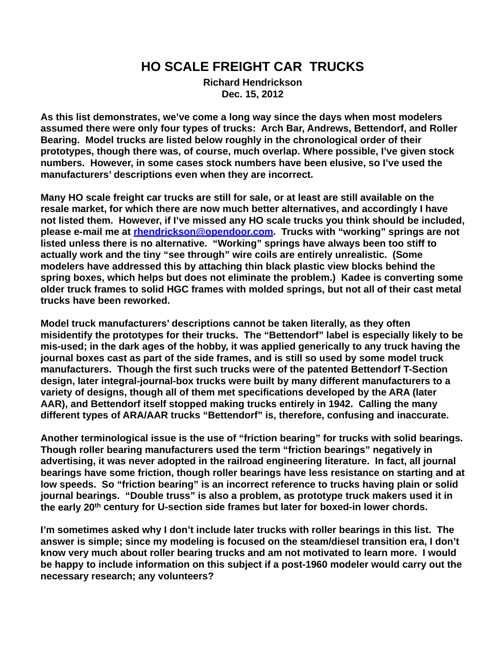# **HO SCALE FREIGHT CAR TRUCKS**

**Richard Hendrickson Dec. 15, 2012**

**As this list demonstrates, we've come a long way since the days when most modelers assumed there were only four types of trucks: Arch Bar, Andrews, Bettendorf, and Roller Bearing. Model trucks are listed below roughly in the chronological order of their prototypes, though there was, of course, much overlap. Where possible, I've given stock numbers. However, in some cases stock numbers have been elusive, so I've used the manufacturers' descriptions even when they are incorrect.**

**Many HO scale freight car trucks are still for sale, or at least are still available on the resale market, for which there are now much better alternatives, and accordingly I have not listed them. However, if I've missed any HO scale trucks you think should be included, please e-mail me at [rhendrickson@opendoor.com](mailto:rhendrickson@opendoor.com). Trucks with "working" springs are not listed unless there is no alternative. "Working" springs have always been too stiff to actually work and the tiny "see through" wire coils are entirely unrealistic. (Some modelers have addressed this by attaching thin black plastic view blocks behind the spring boxes, which helps but does not eliminate the problem.) Kadee is converting some older truck frames to solid HGC frames with molded springs, but not all of their cast metal trucks have been reworked.** 

**Model truck manufacturers' descriptions cannot be taken literally, as they often misidentify the prototypes for their trucks. The "Bettendorf" label is especially likely to be mis-used; in the dark ages of the hobby, it was applied generically to any truck having the journal boxes cast as part of the side frames, and is still so used by some model truck manufacturers. Though the first such trucks were of the patented Bettendorf T-Section design, later integral-journal-box trucks were built by many different manufacturers to a variety of designs, though all of them met specifications developed by the ARA (later AAR), and Bettendorf itself stopped making trucks entirely in 1942. Calling the many different types of ARA/AAR trucks "Bettendorf" is, therefore, confusing and inaccurate.**

**Another terminological issue is the use of "friction bearing" for trucks with solid bearings. Though roller bearing manufacturers used the term "friction bearings" negatively in advertising, it was never adopted in the railroad engineering literature. In fact, all journal bearings have some friction, though roller bearings have less resistance on starting and at low speeds. So "friction bearing" is an incorrect reference to trucks having plain or solid journal bearings. "Double truss" is also a problem, as prototype truck makers used it in the early 20th century for U-section side frames but later for boxed-in lower chords.** 

**I'm sometimes asked why I don't include later trucks with roller bearings in this list. The answer is simple; since my modeling is focused on the steam/diesel transition era, I don't know very much about roller bearing trucks and am not motivated to learn more. I would be happy to include information on this subject if a post-1960 modeler would carry out the necessary research; any volunteers?**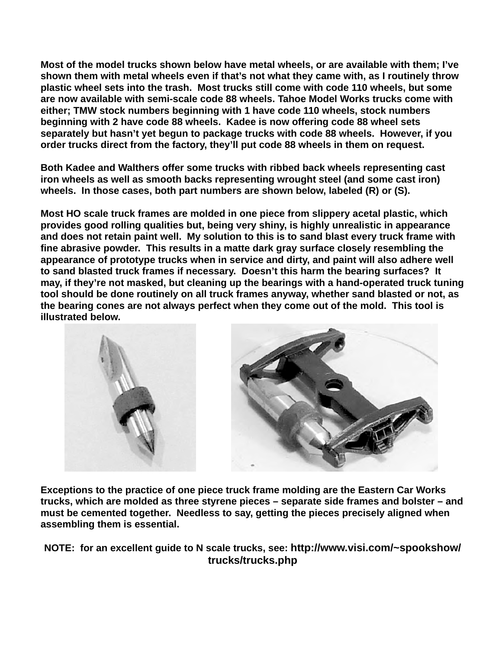**Most of the model trucks shown below have metal wheels, or are available with them; I've shown them with metal wheels even if that's not what they came with, as I routinely throw plastic wheel sets into the trash. Most trucks still come with code 110 wheels, but some are now available with semi-scale code 88 wheels. Tahoe Model Works trucks come with either; TMW stock numbers beginning with 1 have code 110 wheels, stock numbers beginning with 2 have code 88 wheels. Kadee is now offering code 88 wheel sets separately but hasn't yet begun to package trucks with code 88 wheels. However, if you order trucks direct from the factory, they'll put code 88 wheels in them on request.**

**Both Kadee and Walthers offer some trucks with ribbed back wheels representing cast iron wheels as well as smooth backs representing wrought steel (and some cast iron) wheels. In those cases, both part numbers are shown below, labeled (R) or (S).**

**Most HO scale truck frames are molded in one piece from slippery acetal plastic, which provides good rolling qualities but, being very shiny, is highly unrealistic in appearance and does not retain paint well. My solution to this is to sand blast every truck frame with fine abrasive powder. This results in a matte dark gray surface closely resembling the appearance of prototype trucks when in service and dirty, and paint will also adhere well to sand blasted truck frames if necessary. Doesn't this harm the bearing surfaces? It may, if they're not masked, but cleaning up the bearings with a hand-operated truck tuning tool should be done routinely on all truck frames anyway, whether sand blasted or not, as the bearing cones are not always perfect when they come out of the mold. This tool is illustrated below.**



**Exceptions to the practice of one piece truck frame molding are the Eastern Car Works trucks, which are molded as three styrene pieces – separate side frames and bolster – and must be cemented together. Needless to say, getting the pieces precisely aligned when assembling them is essential.**

**NOTE: for an excellent guide to N scale trucks, see: http://www.visi.com/~spookshow/ trucks/trucks.php**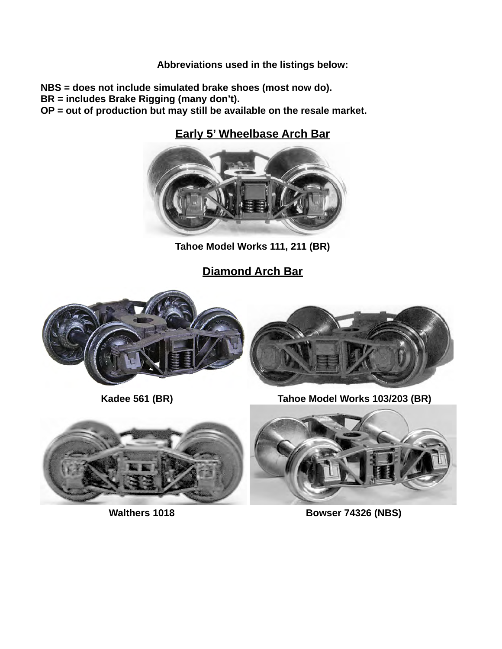#### **Abbreviations used in the listings below:**

**NBS = does not include simulated brake shoes (most now do).** 

**BR = includes Brake Rigging (many don't).** 

**OP = out of production but may still be available on the resale market.** 

## **Early 5' Wheelbase Arch Bar**



**Tahoe Model Works 111, 211 (BR)**

**Diamond Arch Bar**









**Walthers 1018 Bowser 74326 (NBS)**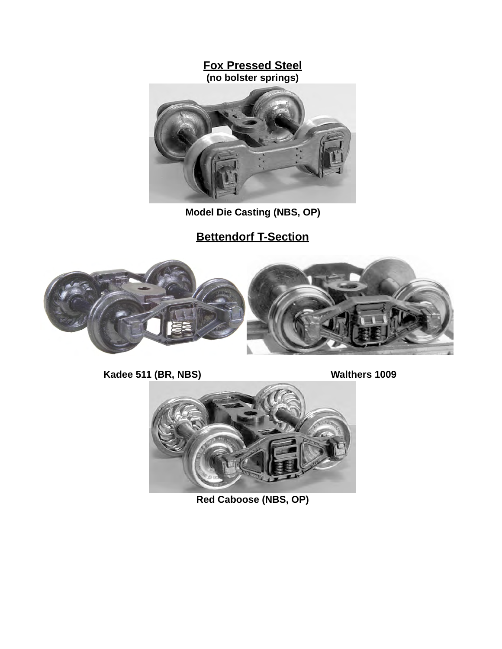#### **Fox Pressed Steel (no bolster springs)**



 **Model Die Casting (NBS, OP)**

# **Bettendorf T-Section**



**Kadee 511 (BR, NBS) Walthers 1009** 



**Red Caboose (NBS, OP)**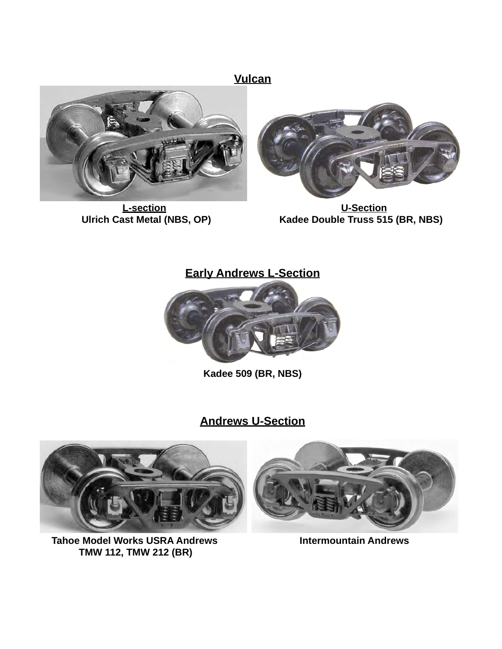**Vulcan**



 **L-section U-Section**



**Kadee Double Truss 515 (BR, NBS)** 

## **Early Andrews L-Section**



**Kadee 509 (BR, NBS)**

## **Andrews U-Section**



 **Tahoe Model Works USRA Andrews Intermountain Andrews TMW 112, TMW 212 (BR)**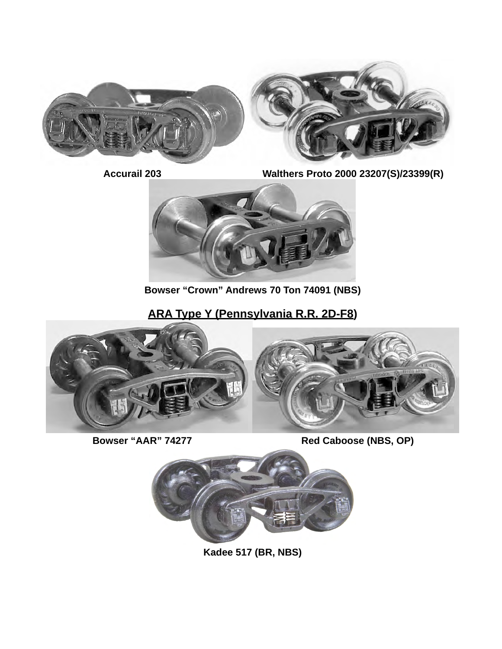



**Accurail 203 Walthers Proto 2000 23207(S)/23399(R)**



**Bowser "Crown" Andrews 70 Ton 74091 (NBS)**

# **ARA Type Y (Pennsylvania R.R. 2D-F8)**



 **Bowser "AAR" 74277 Red Caboose (NBS, OP)** 



**Kadee 517 (BR, NBS)**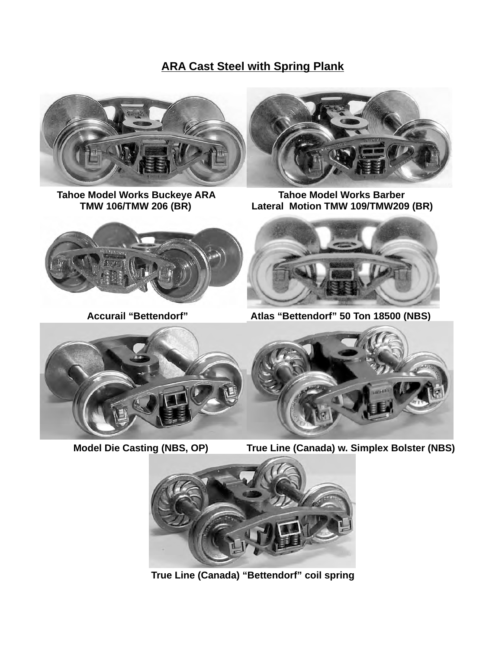## **ARA Cast Steel with Spring Plank**



Tahoe Model Works Buckeye ARA **Tahoe Model Works Barber**<br>TMW 106/TMW 206 (BR) Lateral Motion TMW 109/TMW209



Lateral Motion TMW 109/TMW209 (BR)





**Accurail "Bettendorf" Atlas "Bettendorf" 50 Ton 18500 (NBS)**



 **Model Die Casting (NBS, OP) True Line (Canada) w. Simplex Bolster (NBS)**





 **True Line (Canada) "Bettendorf" coil spring**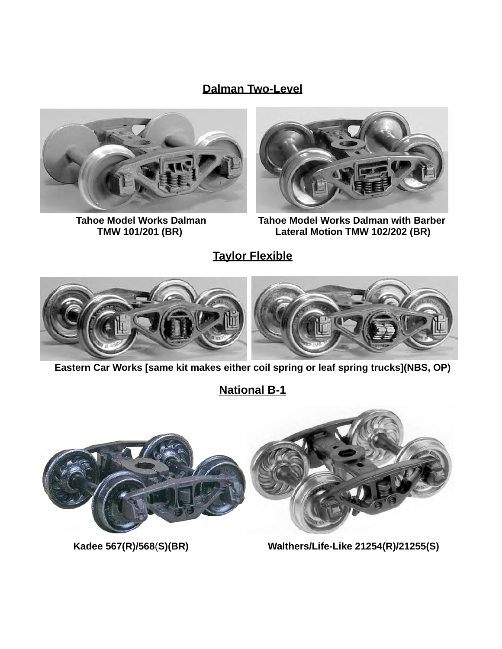## **Dalman Two-Level**





Tahoe Model Works Dalman **Tahoe Model Works Dalman TMW 102/202** (BR)<br>Lateral Motion TMW 102/202 (BR) Lateral Motion TMW 102/202 (BR)

**Taylor Flexible**



**Eastern Car Works [same kit makes either coil spring or leaf spring trucks](NBS, OP)**

**National B-1**



 **Kadee 567(R)/568**(**S)(BR) Walthers/Life-Like 21254(R)/21255(S)**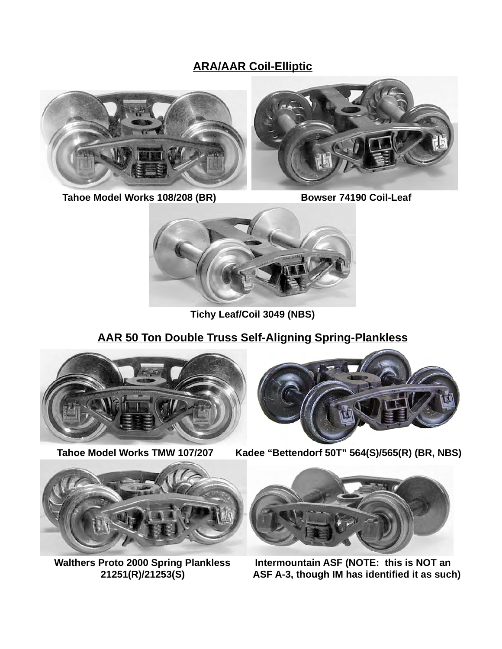## **ARA/AAR Coil-Elliptic**



Tahoe Model Works 108/208 (BR) Bowser 74190 Coil-Leaf



**Tichy Leaf/Coil 3049 (NBS)**

## **AAR 50 Ton Double Truss Self-Aligning Spring-Plankless**











 **Walthers Proto 2000 Spring Plankless** Intermountain ASF (NOTE: this is NOT an<br>ASF A-3, though IM has identified it as sucle **ASF A-3, though IM has identified it as such)**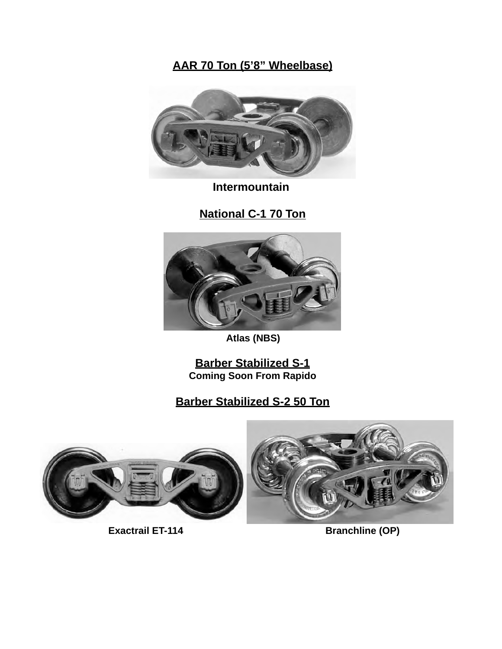# **AAR 70 Ton (5'8" Wheelbase)**



 **Intermountain** 

**National C-1 70 Ton**



 **Atlas (NBS)**

**Barber Stabilized S-1 Coming Soon From Rapido**

**Barber Stabilized S-2 50 Ton**



**Exactrail ET-114** Branchline (OP)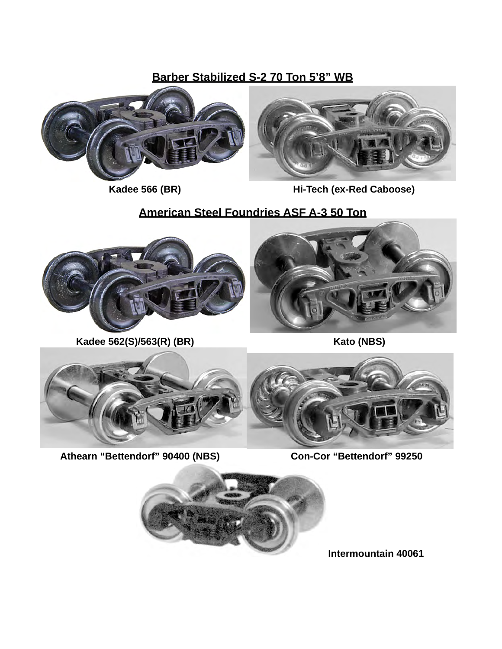**Barber Stabilized S-2 70 Ton 5'8" WB**





 **Kadee 566 (BR) Hi-Tech (ex-Red Caboose)** 

## **American Steel Foundries ASF A-3 50 Ton**



 **Kadee 562(S)/563(R) (BR)** Kato (NBS)





**Athearn "Bettendorf" 90400 (NBS) Con-Cor "Bettendorf" 99250**



**Intermountain 40061**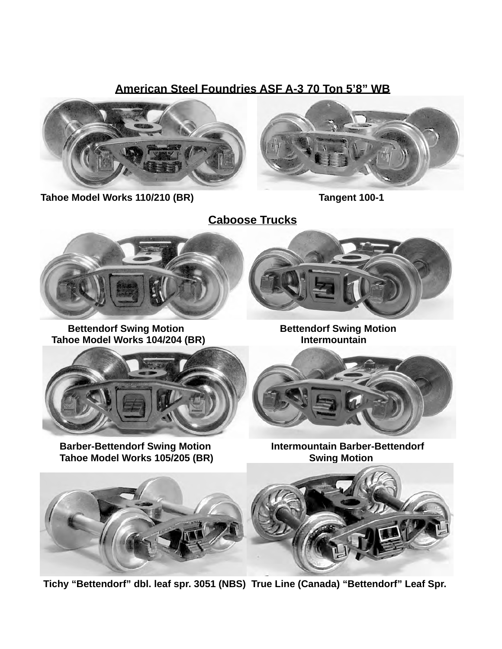### **American Steel Foundries ASF A-3 70 Ton 5'8" WB**



Tahoe Model Works 110/210 (BR) Tangent 100-1



**Caboose Trucks**



**Bettendorf Swing Motion <b>Bettendorf Swing Motion** Tahoe Model Works 104/204 (BR) **Intermountain** 



**Barber-Bettendorf Swing Motion Intermountain Barber-Bettendorf** Tahoe Model Works 105/205 (BR) **Swing Motion** 





 **Tichy "Bettendorf" dbl. leaf spr. 3051 (NBS) True Line (Canada) "Bettendorf" Leaf Spr.**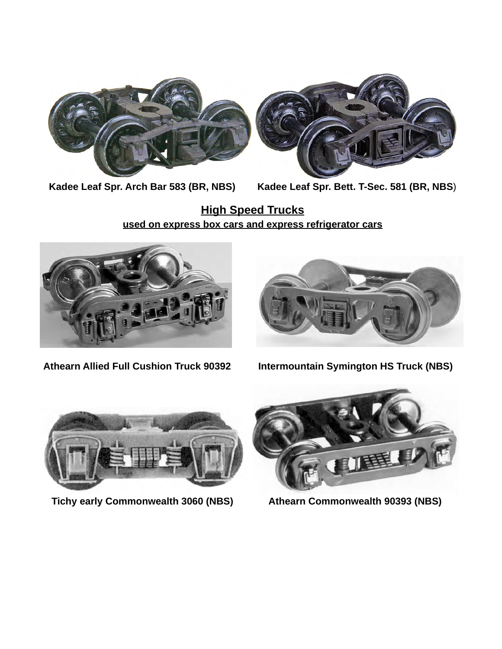



**Kadee Leaf Spr. Arch Bar 583 (BR, NBS) Kadee Leaf Spr. Bett. T-Sec. 581 (BR, NBS**)

**High Speed Trucks used on express box cars and express refrigerator cars**





**Athearn Allied Full Cushion Truck 90392 Intermountain Symington HS Truck (NBS)**



 **Tichy early Commonwealth 3060 (NBS) <br>Athearn Commonwealth 90393 (NBS)**